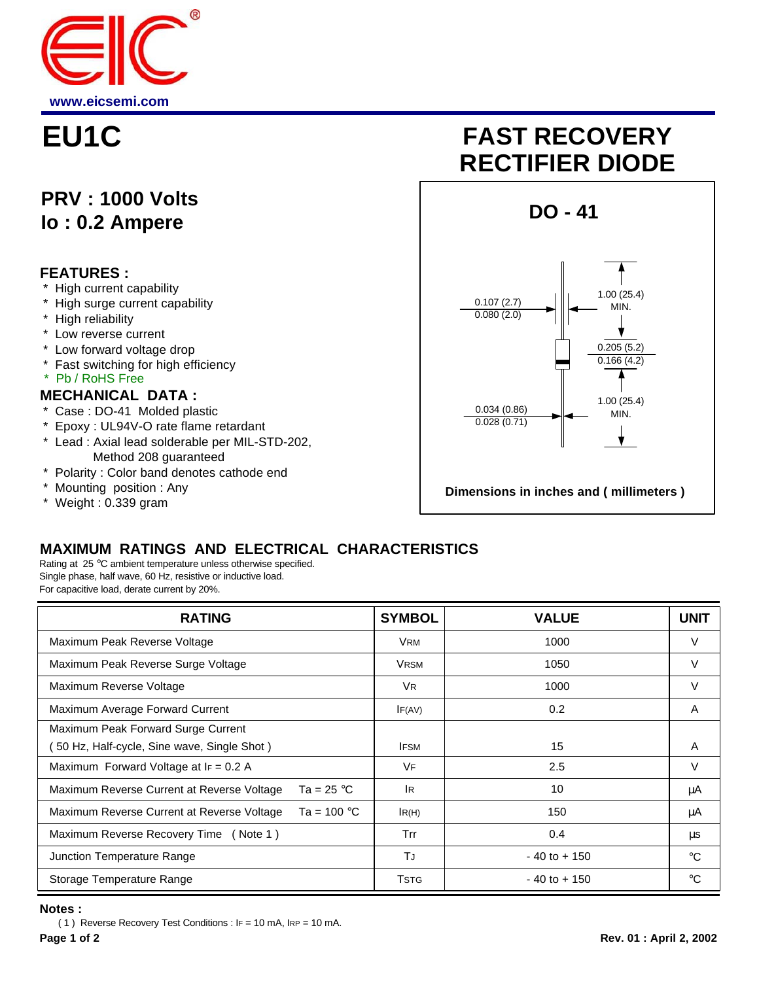

## **PRV : 1000 Volts Io : 0.2 Ampere**

#### **FEATURES :**

- High current capability
- High surge current capability
- \* High reliability
- \* Low reverse current
- \* Low forward voltage drop
- \* Fast switching for high efficiency
- \* Pb / RoHS Free

#### **MECHANICAL DATA :**

- \* Case : DO-41 Molded plastic
- \* Epoxy : UL94V-O rate flame retardant
- \* Lead : Axial lead solderable per MIL-STD-202, Method 208 guaranteed
- \* Polarity : Color band denotes cathode end
- \* Mounting position : Any
- \* Weight : 0.339 gram

# **EU1C FAST RECOVERY RECTIFIER DIODE**



### **MAXIMUM RATINGS AND ELECTRICAL CHARACTERISTICS**

Rating at 25 °C ambient temperature unless otherwise specified. Single phase, half wave, 60 Hz, resistive or inductive load. For capacitive load, derate current by 20%.

| <b>RATING</b>                                                       | <b>SYMBOL</b>  | <b>VALUE</b>    | <b>UNIT</b> |
|---------------------------------------------------------------------|----------------|-----------------|-------------|
| Maximum Peak Reverse Voltage                                        | <b>VRM</b>     | 1000            | V           |
| Maximum Peak Reverse Surge Voltage                                  | <b>VRSM</b>    | 1050            | V           |
| Maximum Reverse Voltage                                             | V <sub>R</sub> | 1000            | V           |
| Maximum Average Forward Current                                     | IF(AV)         | 0.2             | A           |
| Maximum Peak Forward Surge Current                                  |                |                 |             |
| 50 Hz, Half-cycle, Sine wave, Single Shot)                          | <b>IFSM</b>    | 15              | A           |
| Maximum Forward Voltage at $I_F = 0.2$ A                            | VF             | 2.5             | V           |
| Ta = 25 $^{\circ}$ C<br>Maximum Reverse Current at Reverse Voltage  | <b>IR</b>      | 10              | μA          |
| Maximum Reverse Current at Reverse Voltage<br>Ta = 100 $^{\circ}$ C | IR(H)          | 150             | μA          |
| Maximum Reverse Recovery Time (Note 1)                              | Trr            | 0.4             | μs          |
| Junction Temperature Range                                          | TJ             | $-40$ to $+150$ | $^{\circ}C$ |
| Storage Temperature Range                                           | Tstg           | $-40$ to $+150$ | $^{\circ}C$ |

#### **Notes :**

( 1 ) Reverse Recovery Test Conditions : IF = 10 mA, IRP = 10 mA.